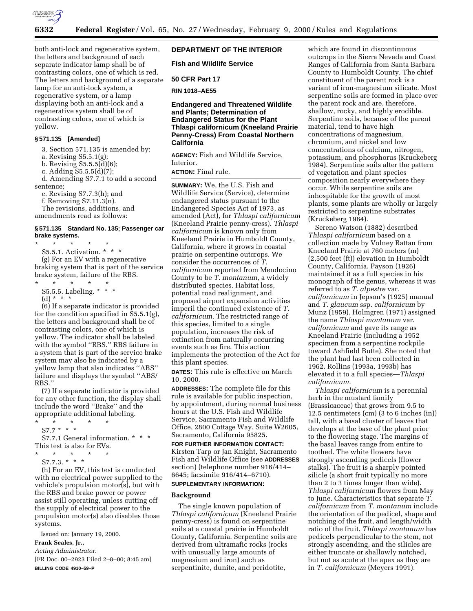

both anti-lock and regenerative system, the letters and background of each separate indicator lamp shall be of contrasting colors, one of which is red. The letters and background of a separate lamp for an anti-lock system, a regenerative system, or a lamp displaying both an anti-lock and a regenerative system shall be of contrasting colors, one of which is yellow.

## **§ 571.135 [Amended]**

3. Section 571.135 is amended by:

a. Revising S5.5.1(g);

b. Revising S5.5.5(d)(6);

c. Adding S5.5.5(d)(7);

d. Amending S7.7.1 to add a second sentence;

e. Revising S7.7.3(h); and

f. Removing S7.11.3(n).

The revisions, additions, and amendments read as follows:

## **§ 571.135 Standard No. 135; Passenger car brake systems.**

\* \* \* \* \* S5.5.1. Activation. \* \* \* (g) For an EV with a regenerative

braking system that is part of the service brake system, failure of the RBS.

- \* \* \* \* \* S5.5.5. Labeling. \* \* \*
	- (d) \* \* \*

(6) If a separate indicator is provided for the condition specified in S5.5.1(g), the letters and background shall be of contrasting colors, one of which is yellow. The indicator shall be labeled with the symbol ''RBS.'' RBS failure in a system that is part of the service brake system may also be indicated by a yellow lamp that also indicates ''ABS'' failure and displays the symbol ''ABS/ RBS.''

(7) If a separate indicator is provided for any other function, the display shall include the word ''Brake'' and the appropriate additional labeling.

\* \* \* \* \*

S7.7 \* \* \* S7.7.1 General information. \* \* \* This test is also for EVs.

- \* \* \* \* \*
	- $S7.7.3.*$  \* \*

(h) For an EV, this test is conducted with no electrical power supplied to the vehicle's propulsion motor(s), but with the RBS and brake power or power assist still operating, unless cutting off the supply of electrical power to the propulsion motor(s) also disables those systems.

Issued on: January 19, 2000.

# **Frank Seales, Jr.,**

*Acting Administrator.*

[FR Doc. 00–2923 Filed 2–8–00; 8:45 am] **BILLING CODE 4910–59–P**

# **DEPARTMENT OF THE INTERIOR**

**Fish and Wildlife Service**

**50 CFR Part 17**

**RIN 1018–AE55**

# **Endangered and Threatened Wildlife and Plants; Determination of Endangered Status for the Plant Thlaspi californicum (Kneeland Prairie Penny-Cress) From Coastal Northern California**

**AGENCY:** Fish and Wildlife Service, Interior.

# **ACTION:** Final rule.

**SUMMARY:** We, the U.S. Fish and Wildlife Service (Service), determine endangered status pursuant to the Endangered Species Act of 1973, as amended (Act), for *Thlaspi californicum* (Kneeland Prairie penny-cress). *Thlaspi californicum* is known only from Kneeland Prairie in Humboldt County, California, where it grows in coastal prairie on serpentine outcrops. We consider the occurrences of *T. californicum* reported from Mendocino County to be *T. montanum,* a widely distributed species. Habitat loss, potential road realignment, and proposed airport expansion activities imperil the continued existence of *T. californicum.* The restricted range of this species, limited to a single population, increases the risk of extinction from naturally occurring events such as fire. This action implements the protection of the Act for this plant species.

**DATES:** This rule is effective on March 10, 2000.

**ADDRESSES:** The complete file for this rule is available for public inspection, by appointment, during normal business hours at the U.S. Fish and Wildlife Service, Sacramento Fish and Wildlife Office, 2800 Cottage Way, Suite W2605, Sacramento, California 95825.

**FOR FURTHER INFORMATION CONTACT:** Kirsten Tarp or Jan Knight, Sacramento Fish and Wildlife Office (see **ADDRESSES** section) (telephone number 916/414– 6645; facsimile 916/414–6710).

# **SUPPLEMENTARY INFORMATION:**

## **Background**

The single known population of *Thlaspi californicum* (Kneeland Prairie penny-cress) is found on serpentine soils at a coastal prairie in Humboldt County, California. Serpentine soils are derived from ultramafic rocks (rocks with unusually large amounts of magnesium and iron) such as serpentinite, dunite, and peridotite,

which are found in discontinuous outcrops in the Sierra Nevada and Coast Ranges of California from Santa Barbara County to Humboldt County. The chief constituent of the parent rock is a variant of iron-magnesium silicate. Most serpentine soils are formed in place over the parent rock and are, therefore, shallow, rocky, and highly erodible. Serpentine soils, because of the parent material, tend to have high concentrations of magnesium, chromium, and nickel and low concentrations of calcium, nitrogen, potassium, and phosphorus (Kruckeberg 1984). Serpentine soils alter the pattern of vegetation and plant species composition nearly everywhere they occur. While serpentine soils are inhospitable for the growth of most plants, some plants are wholly or largely restricted to serpentine substrates (Kruckeberg 1984).

Sereno Watson (1882) described *Thlaspi californicum* based on a collection made by Volney Rattan from Kneeland Prairie at 760 meters (m) (2,500 feet (ft)) elevation in Humboldt County, California. Payson (1926) maintained it as a full species in his monograph of the genus, whereas it was referred to as *T. alpestre* var. *californicum* in Jepson's (1925) manual and *T. glaucum* ssp. *californicum* by Munz (1959). Holmgren (1971) assigned the name *Thlaspi montanum* var. *californicum* and gave its range as Kneeland Prairie (including a 1952 specimen from a serpentine rockpile toward Ashfield Butte). She noted that the plant had last been collected in 1962. Rollins (1993a, 1993b) has elevated it to a full species—*Thlaspi californicum.*

*Thlaspi californicum* is a perennial herb in the mustard family (Brassicaceae) that grows from 9.5 to 12.5 centimeters (cm) (3 to 6 inches (in)) tall, with a basal cluster of leaves that develops at the base of the plant prior to the flowering stage. The margins of the basal leaves range from entire to toothed. The white flowers have strongly ascending pedicels (flower stalks). The fruit is a sharply pointed silicle (a short fruit typically no more than 2 to 3 times longer than wide). *Thlaspi californicum* flowers from May to June. Characteristics that separate *T. californicum* from *T. montanum* include the orientation of the pedicel, shape and notching of the fruit, and length/width ratio of the fruit. *Thlaspi montanum* has pedicels perpendicular to the stem, not strongly ascending, and the silicles are either truncate or shallowly notched, but not as acute at the apex as they are in *T. californicum* (Meyers 1991).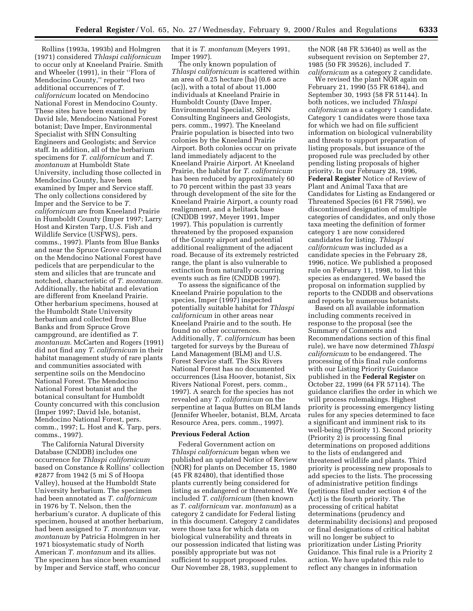Rollins (1993a, 1993b) and Holmgren (1971) considered *Thlaspi californicum* to occur only at Kneeland Prairie. Smith and Wheeler (1991), in their ''Flora of Mendocino County,'' reported two additional occurrences of *T. californicum* located on Mendocino National Forest in Mendocino County. These sites have been examined by David Isle, Mendocino National Forest botanist; Dave Imper, Environmental Specialist with SHN Consulting Engineers and Geologists; and Service staff. In addition, all of the herbarium specimens for *T. californicum* and *T. montanum* at Humboldt State University, including those collected in Mendocino County, have been examined by Imper and Service staff. The only collections considered by Imper and the Service to be *T. californicum* are from Kneeland Prairie in Humboldt County (Imper 1997; Larry Host and Kirsten Tarp, U.S. Fish and Wildlife Service (USFWS), pers. comms., 1997). Plants from Blue Banks and near the Spruce Grove campground on the Mendocino National Forest have pedicels that are perpendicular to the stem and silicles that are truncate and notched, characteristic of *T. montanum.* Additionally, the habitat and elevation are different from Kneeland Prairie. Other herbarium specimens, housed at the Humboldt State University herbarium and collected from Blue Banks and from Spruce Grove campground, are identified as *T. montanum.* McCarten and Rogers (1991) did not find any *T. californicum* in their habitat management study of rare plants and communities associated with serpentine soils on the Mendocino National Forest. The Mendocino National Forest botanist and the botanical consultant for Humboldt County concurred with this conclusion (Imper 1997; David Isle, botanist, Mendocino National Forest, pers. comm., 1997; L. Host and K. Tarp, pers. comms., 1997).

The California Natural Diversity Database (CNDDB) includes one occurrence for *Thlaspi californicum* based on Constance & Rollins' collection #2877 from 1942 (5 mi S of Hoopa Valley), housed at the Humboldt State University herbarium. The specimen had been annotated as *T. californicum* in 1976 by T. Nelson, then the herbarium's curator. A duplicate of this specimen, housed at another herbarium, had been assigned to *T. montanum* var. *montanum* by Patricia Holmgren in her 1971 biosystematic study of North American *T. montanum* and its allies. The specimen has since been examined by Imper and Service staff, who concur

that it is *T. montanum* (Meyers 1991, Imper 1997).

The only known population of *Thlaspi californicum* is scattered within an area of 0.25 hectare (ha) (0.6 acre (ac)), with a total of about 11,000 individuals at Kneeland Prairie in Humboldt County (Dave Imper, Environmental Specialist, SHN Consulting Engineers and Geologists, pers. comm., 1997). The Kneeland Prairie population is bisected into two colonies by the Kneeland Prairie Airport. Both colonies occur on private land immediately adjacent to the Kneeland Prairie Airport. At Kneeland Prairie, the habitat for *T. californicum* has been reduced by approximately 60 to 70 percent within the past 33 years through development of the site for the Kneeland Prairie Airport, a county road realignment, and a helitack base (CNDDB 1997, Meyer 1991, Imper 1997). This population is currently threatened by the proposed expansion of the County airport and potential additional realignment of the adjacent road. Because of its extremely restricted range, the plant is also vulnerable to extinction from naturally occurring events such as fire (CNDDB 1997).

To assess the significance of the Kneeland Prairie population to the species, Imper (1997) inspected potentially suitable habitat for *Thlaspi californicum* in other areas near Kneeland Prairie and to the south. He found no other occurrences. Additionally, *T. californicum* has been targeted for surveys by the Bureau of Land Management (BLM) and U.S. Forest Service staff. The Six Rivers National Forest has no documented occurrences (Lisa Hoover, botanist, Six Rivers National Forest, pers. comm., 1997). A search for the species has not revealed any *T. californicum* on the serpentine at Iaqua Buttes on BLM lands (Jennifer Wheeler, botanist, BLM, Arcata Resource Area, pers. comm., 1997).

#### **Previous Federal Action**

Federal Government action on *Thlaspi californicum* began when we published an updated Notice of Review (NOR) for plants on December 15, 1980 (45 FR 82480), that identified those plants currently being considered for listing as endangered or threatened. We included *T. californicum* (then known as *T. californicum* var. *montanum*) as a category 2 candidate for Federal listing in this document. Category 2 candidates were those taxa for which data on biological vulnerability and threats in our possession indicated that listing was possibly appropriate but was not sufficient to support proposed rules. Our November 28, 1983, supplement to

the NOR (48 FR 53640) as well as the subsequent revision on September 27, 1985 (50 FR 39526), included *T. californicum* as a category 2 candidate.

We revised the plant NOR again on February 21, 1990 (55 FR 6184), and September 30, 1993 (58 FR 51144). In both notices, we included *Thlaspi californicum* as a category 1 candidate. Category 1 candidates were those taxa for which we had on file sufficient information on biological vulnerability and threats to support preparation of listing proposals, but issuance of the proposed rule was precluded by other pending listing proposals of higher priority. In our February 28, 1996, **Federal Register** Notice of Review of Plant and Animal Taxa that are Candidates for Listing as Endangered or Threatened Species (61 FR 7596), we discontinued designation of multiple categories of candidates, and only those taxa meeting the definition of former category 1 are now considered candidates for listing. *Thlaspi californicum* was included as a candidate species in the February 28, 1996, notice. We published a proposed rule on February 11, 1998, to list this species as endangered. We based the proposal on information supplied by reports to the CNDDB and observations and reports by numerous botanists.

Based on all available information including comments received in response to the proposal (see the Summary of Comments and Recommendations section of this final rule), we have now determined *Thlaspi californicum* to be endangered. The processing of this final rule conforms with our Listing Priority Guidance published in the **Federal Register** on October 22, 1999 (64 FR 57114). The guidance clarifies the order in which we will process rulemakings. Highest priority is processing emergency listing rules for any species determined to face a significant and imminent risk to its well-being (Priority 1). Second priority (Priority 2) is processing final determinations on proposed additions to the lists of endangered and threatened wildlife and plants. Third priority is processing new proposals to add species to the lists. The processing of administrative petition findings (petitions filed under section 4 of the Act) is the fourth priority. The processing of critical habitat determinations (prudency and determinability decisions) and proposed or final designations of critical habitat will no longer be subject to prioritization under Listing Priority Guidance. This final rule is a Priority 2 action. We have updated this rule to reflect any changes in information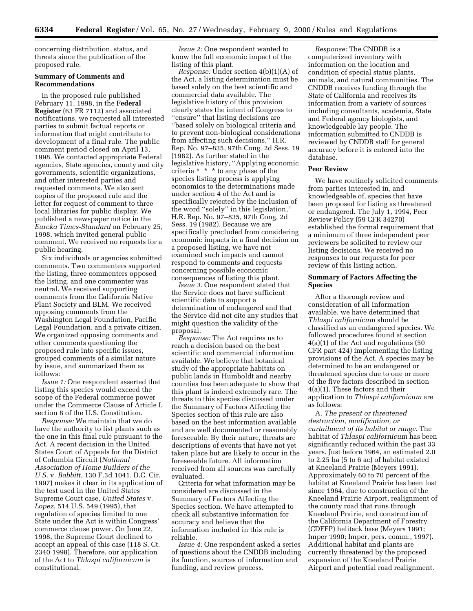concerning distribution, status, and threats since the publication of the proposed rule.

## **Summary of Comments and Recommendations**

In the proposed rule published February 11, 1998, in the **Federal Register** (63 FR 7112) and associated notifications, we requested all interested parties to submit factual reports or information that might contribute to development of a final rule. The public comment period closed on April 13, 1998. We contacted appropriate Federal agencies, State agencies, county and city governments, scientific organizations, and other interested parties and requested comments. We also sent copies of the proposed rule and the letter for request of comment to three local libraries for public display. We published a newspaper notice in the *Eureka Times-Standard* on February 25, 1998, which invited general public comment. We received no requests for a public hearing.

Six individuals or agencies submitted comments. Two commenters supported the listing, three commenters opposed the listing, and one commenter was neutral. We received supporting comments from the California Native Plant Society and BLM. We received opposing comments from the Washington Legal Foundation, Pacific Legal Foundation, and a private citizen. We organized opposing comments and other comments questioning the proposed rule into specific issues, grouped comments of a similar nature by issue, and summarized them as follows:

*Issue 1:* One respondent asserted that listing this species would exceed the scope of the Federal commerce power under the Commerce Clause of Article I, section 8 of the U.S. Constitution.

*Response:* We maintain that we do have the authority to list plants such as the one in this final rule pursuant to the Act. A recent decision in the United States Court of Appeals for the District of Columbia Circuit (*National Association of Home Builders of the U.S.* v. *Babbitt*, 130 F.3d 1041, D.C. Cir. 1997) makes it clear in its application of the test used in the United States Supreme Court case, *United States* v. *Lopez*, 514 U.S. 549 (1995), that regulation of species limited to one State under the Act is within Congress' commerce clause power. On June 22, 1998, the Supreme Court declined to accept an appeal of this case (118 S. Ct. 2340 1998). Therefore, our application of the Act to *Thlaspi californicum* is constitutional.

*Issue 2:* One respondent wanted to know the full economic impact of the listing of this plant.

*Response:* Under section 4(b)(1)(A) of the Act, a listing determination must be based solely on the best scientific and commercial data available. The legislative history of this provision clearly states the intent of Congress to ''ensure'' that listing decisions are ''based solely on biological criteria and to prevent non-biological considerations from affecting such decisions,'' H.R. Rep. No. 97–835, 97th Cong. 2d Sess. 19 (1982). As further stated in the legislative history, ''Applying economic criteria \* \* \* to any phase of the species listing process is applying economics to the determinations made under section 4 of the Act and is specifically rejected by the inclusion of the word ''solely'' in this legislation,'' H.R. Rep. No. 97–835, 97th Cong. 2d Sess. 19 (1982). Because we are specifically precluded from considering economic impacts in a final decision on a proposed listing, we have not examined such impacts and cannot respond to comments and requests concerning possible economic consequences of listing this plant.

*Issue 3.* One respondent stated that the Service does not have sufficient scientific data to support a determination of endangered and that the Service did not cite any studies that might question the validity of the proposal.

*Response:* The Act requires us to reach a decision based on the best scientific and commercial information available. We believe that botanical study of the appropriate habitats on public lands in Humboldt and nearby counties has been adequate to show that this plant is indeed extremely rare. The threats to this species discussed under the Summary of Factors Affecting the Species section of this rule are also based on the best information available and are well documented or reasonably foreseeable. By their nature, threats are descriptions of events that have not yet taken place but are likely to occur in the foreseeable future. All information received from all sources was carefully evaluated.

Criteria for what information may be considered are discussed in the Summary of Factors Affecting the Species section. We have attempted to check all substantive information for accuracy and believe that the information included in this rule is reliable.

*Issue 4:* One respondent asked a series of questions about the CNDDB including its function, sources of information and funding, and review process.

*Response:* The CNDDB is a computerized inventory with information on the location and condition of special status plants, animals, and natural communities. The CNDDB receives funding through the State of California and receives its information from a variety of sources including consultants, academia, State and Federal agency biologists, and knowledgeable lay people. The information submitted to CNDDB is reviewed by CNDDB staff for general accuracy before it is entered into the database.

## **Peer Review**

We have routinely solicited comments from parties interested in, and knowledgeable of, species that have been proposed for listing as threatened or endangered. The July 1, 1994, Peer Review Policy (59 CFR 34270) established the formal requirement that a minimum of three independent peer reviewers be solicited to review our listing decisions. We received no responses to our requests for peer review of this listing action.

## **Summary of Factors Affecting the Species**

After a thorough review and consideration of all information available, we have determined that *Thlaspi californicum* should be classified as an endangered species. We followed procedures found at section 4(a)(1) of the Act and regulations (50 CFR part 424) implementing the listing provisions of the Act. A species may be determined to be an endangered or threatened species due to one or more of the five factors described in section 4(a)(1). These factors and their application to *Thlaspi californicum* are as follows:

A. *The present or threatened destruction, modification, or curtailment of its habitat or range.* The habitat of *Thlaspi californicum* has been significantly reduced within the past 33 years. Just before 1964, an estimated 2.0 to 2.25 ha (5 to 6 ac) of habitat existed at Kneeland Prairie (Meyers 1991). Approximately 60 to 70 percent of the habitat at Kneeland Prairie has been lost since 1964, due to construction of the Kneeland Prairie Airport, realignment of the county road that runs through Kneeland Prairie, and construction of the California Department of Forestry (CDFFP) helitack base (Meyers 1991; Imper 1990; Imper, pers. comm., 1997). Additional habitat and plants are currently threatened by the proposed expansion of the Kneeland Prairie Airport and potential road realignment.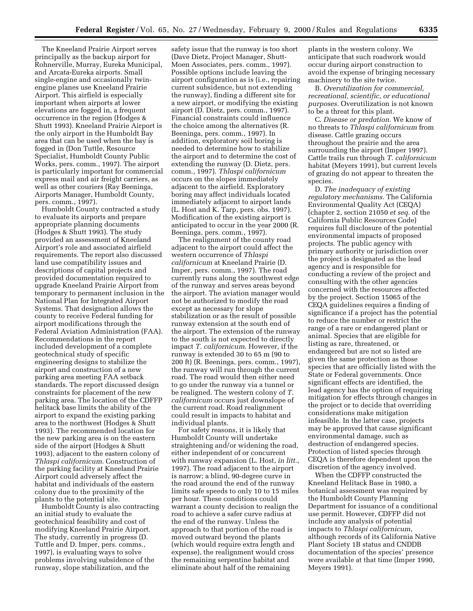The Kneeland Prairie Airport serves principally as the backup airport for Rohnerville, Murray, Eureka Municipal, and Arcata-Eureka airports. Small single-engine and occasionally twinengine planes use Kneeland Prairie Airport. This airfield is especially important when airports at lower elevations are fogged in, a frequent occurrence in the region (Hodges & Shutt 1993). Kneeland Prairie Airport is the only airport in the Humboldt Bay area that can be used when the bay is fogged in (Don Tuttle, Resource Specialist, Humboldt County Public Works, pers. comm., 1997). The airport is particularly important for commercial express mail and air freight carriers, as well as other couriers (Ray Beeninga, Airports Manager, Humboldt County, pers. comm., 1997).

Humboldt County contracted a study to evaluate its airports and prepare appropriate planning documents (Hodges & Shutt 1993). The study provided an assessment of Kneeland Airport's role and associated airfield requirements. The report also discussed land use compatibility issues and descriptions of capital projects and provided documentation required to upgrade Kneeland Prairie Airport from temporary to permanent inclusion in the National Plan for Integrated Airport Systems. That designation allows the county to receive Federal funding for airport modifications through the Federal Aviation Administration (FAA). Recommendations in the report included development of a complete geotechnical study of specific engineering designs to stabilize the airport and construction of a new parking area meeting FAA setback standards. The report discussed design constraints for placement of the new parking area. The location of the CDFFP helitack base limits the ability of the airport to expand the existing parking area to the northwest (Hodges & Shutt 1993). The recommended location for the new parking area is on the eastern side of the airport (Hodges & Shutt 1993), adjacent to the eastern colony of *Thlaspi californicum*. Construction of the parking facility at Kneeland Prairie Airport could adversely affect the habitat and individuals of the eastern colony due to the proximity of the plants to the potential site.

Humboldt County is also contracting an initial study to evaluate the geotechnical feasibility and cost of modifying Kneeland Prairie Airport. The study, currently in progress (D. Tuttle and D. Imper, pers. comms., 1997), is evaluating ways to solve problems involving subsidence of the runway, slope stabilization, and the

safety issue that the runway is too short (Dave Dietz, Project Manager, Shutt-Moen Associates, pers. comm., 1997). Possible options include leaving the airport configuration as is (i.e., repairing current subsidence, but not extending the runway), finding a different site for a new airport, or modifying the existing airport (D. Dietz, pers. comm., 1997). Financial constraints could influence the choice among the alternatives (R. Beeninga, pers. comm., 1997). In addition, exploratory soil boring is needed to determine how to stabilize the airport and to determine the cost of extending the runway (D. Dietz, pers. comm., 1997). *Thlaspi californicum* occurs on the slopes immediately adjacent to the airfield. Exploratory boring may affect individuals located immediately adjacent to airport lands (L. Host and K. Tarp, pers. obs. 1997). Modification of the existing airport is anticipated to occur in the year 2000 (R. Beeninga, pers. comm., 1997).

The realignment of the county road adjacent to the airport could affect the western occurrence of *Thlaspi californicum* at Kneeland Prairie (D. Imper, pers. comm., 1997). The road currently runs along the southwest edge of the runway and serves areas beyond the airport. The aviation manager would not be authorized to modify the road except as necessary for slope stabilization or as the result of possible runway extension at the south end of the airport. The extension of the runway to the south is not expected to directly impact *T. californicum*. However, if the runway is extended 30 to 65 m (90 to 200 ft) (R. Beeninga, pers. comm., 1997), the runway will run through the current road. The road would then either need to go under the runway via a tunnel or be realigned. The western colony of *T. californicum* occurs just downslope of the current road. Road realignment could result in impacts to habitat and individual plants.

For safety reasons, it is likely that Humboldt County will undertake straightening and/or widening the road, either independent of or concurrent with runway expansion (L. Host, *in litt.*, 1997). The road adjacent to the airport is narrow; a blind, 90-degree curve in the road around the end of the runway limits safe speeds to only 10 to 15 miles per hour. These conditions could warrant a county decision to realign the road to achieve a safer curve radius at the end of the runway. Unless the approach to that portion of the road is moved outward beyond the plants (which would require extra length and expense), the realignment would cross the remaining serpentine habitat and eliminate about half of the remaining

plants in the western colony. We anticipate that such roadwork would occur during airport construction to avoid the expense of bringing necessary machinery to the site twice.

B. *Overutilization for commercial, recreational, scientific, or educational purposes.* Overutilization is not known to be a threat for this plant.

C. *Disease or predation.* We know of no threats to *Thlaspi californicum* from disease. Cattle grazing occurs throughout the prairie and the area surrounding the airport (Imper 1997). Cattle trails run through *T. californicum* habitat (Meyers 1991), but current levels of grazing do not appear to threaten the species.

D. *The inadequacy of existing regulatory mechanisms.* The California Environmental Quality Act (CEQA) (chapter 2, section 21050 *et seq.* of the California Public Resources Code) requires full disclosure of the potential environmental impacts of proposed projects. The public agency with primary authority or jurisdiction over the project is designated as the lead agency and is responsible for conducting a review of the project and consulting with the other agencies concerned with the resources affected by the project. Section 15065 of the CEQA guidelines requires a finding of significance if a project has the potential to reduce the number or restrict the range of a rare or endangered plant or animal. Species that are eligible for listing as rare, threatened, or endangered but are not so listed are given the same protection as those species that are officially listed with the State or Federal governments. Once significant effects are identified, the lead agency has the option of requiring mitigation for effects through changes in the project or to decide that overriding considerations make mitigation infeasible. In the latter case, projects may be approved that cause significant environmental damage, such as destruction of endangered species. Protection of listed species through CEQA is therefore dependent upon the discretion of the agency involved.

When the CDFFP constructed the Kneeland Helitack Base in 1980, a botanical assessment was required by the Humboldt County Planning Department for issuance of a conditional use permit. However, CDFFP did not include any analysis of potential impacts to *Thlaspi californicum*, although records of its California Native Plant Society 1B status and CNDDB documentation of the species' presence were available at that time (Imper 1990, Meyers 1991).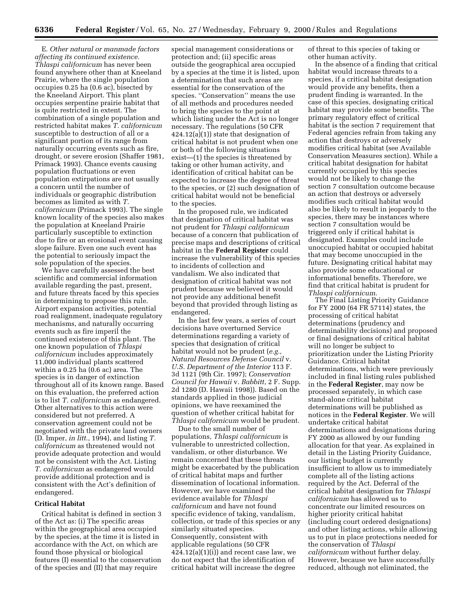E. *Other natural or manmade factors affecting its continued existence. Thlaspi californicum* has never been found anywhere other than at Kneeland Prairie, where the single population occupies 0.25 ha (0.6 ac), bisected by the Kneeland Airport. This plant occupies serpentine prairie habitat that is quite restricted in extent. The combination of a single population and restricted habitat makes *T. californicum* susceptible to destruction of all or a significant portion of its range from naturally occurring events such as fire, drought, or severe erosion (Shaffer 1981, Primack 1993). Chance events causing population fluctuations or even population extirpations are not usually a concern until the number of individuals or geographic distribution becomes as limited as with *T. californicum* (Primack 1993). The single known locality of the species also makes the population at Kneeland Prairie particularly susceptible to extinction due to fire or an erosional event causing slope failure. Even one such event has the potential to seriously impact the sole population of the species.

We have carefully assessed the best scientific and commercial information available regarding the past, present, and future threats faced by this species in determining to propose this rule. Airport expansion activities, potential road realignment, inadequate regulatory mechanisms, and naturally occurring events such as fire imperil the continued existence of this plant. The one known population of *Thlaspi californicum* includes approximately 11,000 individual plants scattered within a 0.25 ha (0.6 ac) area. The species is in danger of extinction throughout all of its known range. Based on this evaluation, the preferred action is to list *T. californicum* as endangered. Other alternatives to this action were considered but not preferred. A conservation agreement could not be negotiated with the private land owners (D. Imper, *in litt.*, 1994), and listing *T. californicum* as threatened would not provide adequate protection and would not be consistent with the Act. Listing *T. californicum* as endangered would provide additional protection and is consistent with the Act's definition of endangered.

#### **Critical Habitat**

Critical habitat is defined in section 3 of the Act as: (i) The specific areas within the geographical area occupied by the species, at the time it is listed in accordance with the Act, on which are found those physical or biological features (I) essential to the conservation of the species and (II) that may require

special management considerations or protection and; (ii) specific areas outside the geographical area occupied by a species at the time it is listed, upon a determination that such areas are essential for the conservation of the species. ''Conservation'' means the use of all methods and procedures needed to bring the species to the point at which listing under the Act is no longer necessary. The regulations (50 CFR 424.12(a)(1)) state that designation of critical habitat is not prudent when one or both of the following situations exist—(1) the species is threatened by taking or other human activity, and identification of critical habitat can be expected to increase the degree of threat to the species, or (2) such designation of critical habitat would not be beneficial to the species.

In the proposed rule, we indicated that designation of critical habitat was not prudent for *Thlaspi californicum* because of a concern that publication of precise maps and descriptions of critical habitat in the **Federal Register** could increase the vulnerability of this species to incidents of collection and vandalism. We also indicated that designation of critical habitat was not prudent because we believed it would not provide any additional benefit beyond that provided through listing as endangered.

In the last few years, a series of court decisions have overturned Service determinations regarding a variety of species that designation of critical habitat would not be prudent (*e.g., Natural Resources Defense Council* v. *U.S. Department of the Interior* 113 F. 3d 1121 (9th Cir. 1997); *Conservation Council for Hawaii* v. *Babbitt*, 2 F. Supp. 2d 1280 (D. Hawaii 1998)). Based on the standards applied in those judicial opinions, we have reexamined the question of whether critical habitat for *Thlaspi californicum* would be prudent.

Due to the small number of populations, *Thlaspi californicum* is vulnerable to unrestricted collection, vandalism, or other disturbance. We remain concerned that these threats might be exacerbated by the publication of critical habitat maps and further dissemination of locational information. However, we have examined the evidence available for *Thlaspi californicum* and have not found specific evidence of taking, vandalism, collection, or trade of this species or any similarly situated species. Consequently, consistent with applicable regulations (50 CFR  $424.12(a)(1)(i)$  and recent case law, we do not expect that the identification of critical habitat will increase the degree

of threat to this species of taking or other human activity.

In the absence of a finding that critical habitat would increase threats to a species, if a critical habitat designation would provide any benefits, then a prudent finding is warranted. In the case of this species, designating critical habitat may provide some benefits. The primary regulatory effect of critical habitat is the section 7 requirement that Federal agencies refrain from taking any action that destroys or adversely modifies critical habitat (see Available Conservation Measures section). While a critical habitat designation for habitat currently occupied by this species would not be likely to change the section 7 consultation outcome because an action that destroys or adversely modifies such critical habitat would also be likely to result in jeopardy to the species, there may be instances where section 7 consultation would be triggered only if critical habitat is designated. Examples could include unoccupied habitat or occupied habitat that may become unoccupied in the future. Designating critical habitat may also provide some educational or informational benefits. Therefore, we find that critical habitat is prudent for *Thlaspi californicum*.

The Final Listing Priority Guidance for FY 2000 (64 FR 57114) states, the processing of critical habitat determinations (prudency and determinability decisions) and proposed or final designations of critical habitat will no longer be subject to prioritization under the Listing Priority Guidance. Critical habitat determinations, which were previously included in final listing rules published in the **Federal Register**, may now be processed separately, in which case stand-alone critical habitat determinations will be published as notices in the **Federal Register**. We will undertake critical habitat determinations and designations during FY 2000 as allowed by our funding allocation for that year. As explained in detail in the Listing Priority Guidance, our listing budget is currently insufficient to allow us to immediately complete all of the listing actions required by the Act. Deferral of the critical habitat designation for *Thlaspi californicum* has allowed us to concentrate our limited resources on higher priority critical habitat (including court ordered designations) and other listing actions, while allowing us to put in place protections needed for the conservation of *Thlaspi californicum* without further delay. However, because we have successfully reduced, although not eliminated, the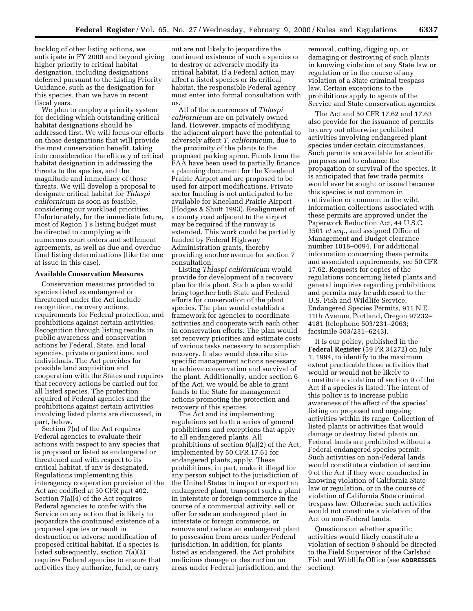backlog of other listing actions, we anticipate in FY 2000 and beyond giving higher priority to critical habitat designation, including designations deferred pursuant to the Listing Priority Guidance, such as the designation for this species, than we have in recent fiscal years.

We plan to employ a priority system for deciding which outstanding critical habitat designations should be addressed first. We will focus our efforts on those designations that will provide the most conservation benefit, taking into consideration the efficacy of critical habitat designation in addressing the threats to the species, and the magnitude and immediacy of those threats. We will develop a proposal to designate critical habitat for *Thlaspi californicum* as soon as feasible, considering our workload priorities. Unfortunately, for the immediate future, most of Region 1's listing budget must be directed to complying with numerous court orders and settlement agreements, as well as due and overdue final listing determinations (like the one at issue in this case).

#### **Available Conservation Measures**

Conservation measures provided to species listed as endangered or threatened under the Act include recognition, recovery actions, requirements for Federal protection, and prohibitions against certain activities. Recognition through listing results in public awareness and conservation actions by Federal, State, and local agencies, private organizations, and individuals. The Act provides for possible land acquisition and cooperation with the States and requires that recovery actions be carried out for all listed species. The protection required of Federal agencies and the prohibitions against certain activities involving listed plants are discussed, in part, below.

Section 7(a) of the Act requires Federal agencies to evaluate their actions with respect to any species that is proposed or listed as endangered or threatened and with respect to its critical habitat, if any is designated. Regulations implementing this interagency cooperation provision of the Act are codified at 50 CFR part 402. Section 7(a)(4) of the Act requires Federal agencies to confer with the Service on any action that is likely to jeopardize the continued existence of a proposed species or result in destruction or adverse modification of proposed critical habitat. If a species is listed subsequently, section 7(a)(2) requires Federal agencies to ensure that activities they authorize, fund, or carry

out are not likely to jeopardize the continued existence of such a species or to destroy or adversely modify its critical habitat. If a Federal action may affect a listed species or its critical habitat, the responsible Federal agency must enter into formal consultation with us.

All of the occurrences of *Thlaspi californicum* are on privately owned land. However, impacts of modifying the adjacent airport have the potential to adversely affect *T. californicum*, due to the proximity of the plants to the proposed parking apron. Funds from the FAA have been used to partially finance a planning document for the Kneeland Prairie Airport and are proposed to be used for airport modifications. Private sector funding is not anticipated to be available for Kneeland Prairie Airport (Hodges & Shutt 1993). Realignment of a county road adjacent to the airport may be required if the runway is extended. This work could be partially funded by Federal Highway Administration grants, thereby providing another avenue for section 7 consultation.

Listing *Thlaspi californicum* would provide for development of a recovery plan for this plant. Such a plan would bring together both State and Federal efforts for conservation of the plant species. The plan would establish a framework for agencies to coordinate activities and cooperate with each other in conservation efforts. The plan would set recovery priorities and estimate costs of various tasks necessary to accomplish recovery. It also would describe sitespecific management actions necessary to achieve conservation and survival of the plant. Additionally, under section 6 of the Act, we would be able to grant funds to the State for management actions promoting the protection and recovery of this species.

The Act and its implementing regulations set forth a series of general prohibitions and exceptions that apply to all endangered plants. All prohibitions of section 9(a)(2) of the Act, implemented by 50 CFR 17.61 for endangered plants, apply. These prohibitions, in part, make it illegal for any person subject to the jurisdiction of the United States to import or export an endangered plant, transport such a plant in interstate or foreign commerce in the course of a commercial activity, sell or offer for sale an endangered plant in interstate or foreign commerce, or remove and reduce an endangered plant to possession from areas under Federal jurisdiction. In addition, for plants listed as endangered, the Act prohibits malicious damage or destruction on areas under Federal jurisdiction, and the removal, cutting, digging up, or damaging or destroying of such plants in knowing violation of any State law or regulation or in the course of any violation of a State criminal trespass law. Certain exceptions to the prohibitions apply to agents of the Service and State conservation agencies.

The Act and 50 CFR 17.62 and 17.63 also provide for the issuance of permits to carry out otherwise prohibited activities involving endangered plant species under certain circumstances. Such permits are available for scientific purposes and to enhance the propagation or survival of the species. It is anticipated that few trade permits would ever be sought or issued because this species is not common in cultivation or common in the wild. Information collections associated with these permits are approved under the Paperwork Reduction Act, 44 U.S.C. 3501 *et seq.*, and assigned Office of Management and Budget clearance number 1018–0094. For additional information concerning these permits and associated requirements, see 50 CFR 17.62. Requests for copies of the regulations concerning listed plants and general inquiries regarding prohibitions and permits may be addressed to the U.S. Fish and Wildlife Service, Endangered Species Permits, 911 N.E. 11th Avenue, Portland, Oregon 97232– 4181 (telephone 503/231–2063; facsimile 503/231–6243).

It is our policy, published in the **Federal Register** (59 FR 34272) on July 1, 1994, to identify to the maximum extent practicable those activities that would or would not be likely to constitute a violation of section 9 of the Act if a species is listed. The intent of this policy is to increase public awareness of the effect of the species' listing on proposed and ongoing activities within its range. Collection of listed plants or activities that would damage or destroy listed plants on Federal lands are prohibited without a Federal endangered species permit. Such activities on non-Federal lands would constitute a violation of section 9 of the Act if they were conducted in knowing violation of California State law or regulation, or in the course of violation of California State criminal trespass law. Otherwise such activities would not constitute a violation of the Act on non-Federal lands.

Questions on whether specific activities would likely constitute a violation of section 9 should be directed to the Field Supervisor of the Carlsbad Fish and Wildlife Office (see **ADDRESSES** section).